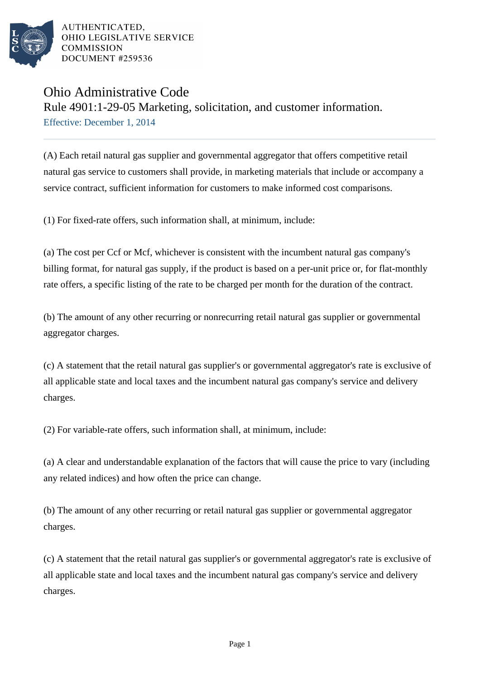

AUTHENTICATED. OHIO LEGISLATIVE SERVICE **COMMISSION** DOCUMENT #259536

## Ohio Administrative Code

Rule 4901:1-29-05 Marketing, solicitation, and customer information.

Effective: December 1, 2014

(A) Each retail natural gas supplier and governmental aggregator that offers competitive retail natural gas service to customers shall provide, in marketing materials that include or accompany a service contract, sufficient information for customers to make informed cost comparisons.

(1) For fixed-rate offers, such information shall, at minimum, include:

(a) The cost per Ccf or Mcf, whichever is consistent with the incumbent natural gas company's billing format, for natural gas supply, if the product is based on a per-unit price or, for flat-monthly rate offers, a specific listing of the rate to be charged per month for the duration of the contract.

(b) The amount of any other recurring or nonrecurring retail natural gas supplier or governmental aggregator charges.

(c) A statement that the retail natural gas supplier's or governmental aggregator's rate is exclusive of all applicable state and local taxes and the incumbent natural gas company's service and delivery charges.

(2) For variable-rate offers, such information shall, at minimum, include:

(a) A clear and understandable explanation of the factors that will cause the price to vary (including any related indices) and how often the price can change.

(b) The amount of any other recurring or retail natural gas supplier or governmental aggregator charges.

(c) A statement that the retail natural gas supplier's or governmental aggregator's rate is exclusive of all applicable state and local taxes and the incumbent natural gas company's service and delivery charges.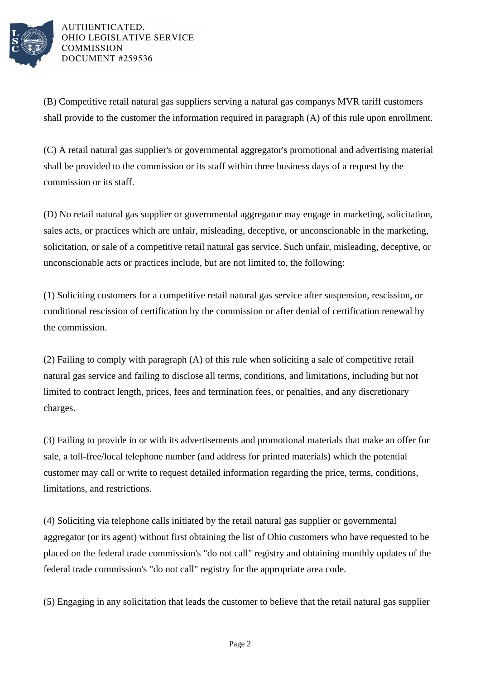

AUTHENTICATED, OHIO LEGISLATIVE SERVICE **COMMISSION** DOCUMENT #259536

(B) Competitive retail natural gas suppliers serving a natural gas companys MVR tariff customers shall provide to the customer the information required in paragraph (A) of this rule upon enrollment.

(C) A retail natural gas supplier's or governmental aggregator's promotional and advertising material shall be provided to the commission or its staff within three business days of a request by the commission or its staff.

(D) No retail natural gas supplier or governmental aggregator may engage in marketing, solicitation, sales acts, or practices which are unfair, misleading, deceptive, or unconscionable in the marketing, solicitation, or sale of a competitive retail natural gas service. Such unfair, misleading, deceptive, or unconscionable acts or practices include, but are not limited to, the following:

(1) Soliciting customers for a competitive retail natural gas service after suspension, rescission, or conditional rescission of certification by the commission or after denial of certification renewal by the commission.

(2) Failing to comply with paragraph (A) of this rule when soliciting a sale of competitive retail natural gas service and failing to disclose all terms, conditions, and limitations, including but not limited to contract length, prices, fees and termination fees, or penalties, and any discretionary charges.

(3) Failing to provide in or with its advertisements and promotional materials that make an offer for sale, a toll-free/local telephone number (and address for printed materials) which the potential customer may call or write to request detailed information regarding the price, terms, conditions, limitations, and restrictions.

(4) Soliciting via telephone calls initiated by the retail natural gas supplier or governmental aggregator (or its agent) without first obtaining the list of Ohio customers who have requested to be placed on the federal trade commission's "do not call" registry and obtaining monthly updates of the federal trade commission's "do not call" registry for the appropriate area code.

(5) Engaging in any solicitation that leads the customer to believe that the retail natural gas supplier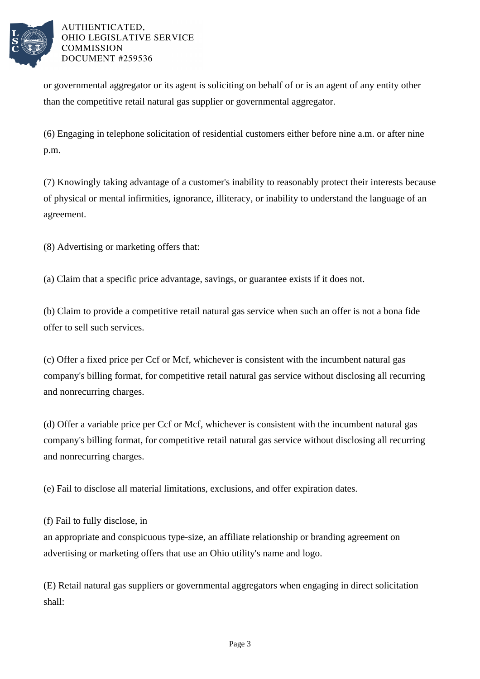

AUTHENTICATED. OHIO LEGISLATIVE SERVICE **COMMISSION** DOCUMENT #259536

or governmental aggregator or its agent is soliciting on behalf of or is an agent of any entity other than the competitive retail natural gas supplier or governmental aggregator.

(6) Engaging in telephone solicitation of residential customers either before nine a.m. or after nine p.m.

(7) Knowingly taking advantage of a customer's inability to reasonably protect their interests because of physical or mental infirmities, ignorance, illiteracy, or inability to understand the language of an agreement.

(8) Advertising or marketing offers that:

(a) Claim that a specific price advantage, savings, or guarantee exists if it does not.

(b) Claim to provide a competitive retail natural gas service when such an offer is not a bona fide offer to sell such services.

(c) Offer a fixed price per Ccf or Mcf, whichever is consistent with the incumbent natural gas company's billing format, for competitive retail natural gas service without disclosing all recurring and nonrecurring charges.

(d) Offer a variable price per Ccf or Mcf, whichever is consistent with the incumbent natural gas company's billing format, for competitive retail natural gas service without disclosing all recurring and nonrecurring charges.

(e) Fail to disclose all material limitations, exclusions, and offer expiration dates.

(f) Fail to fully disclose, in

an appropriate and conspicuous type-size, an affiliate relationship or branding agreement on advertising or marketing offers that use an Ohio utility's name and logo.

(E) Retail natural gas suppliers or governmental aggregators when engaging in direct solicitation shall: